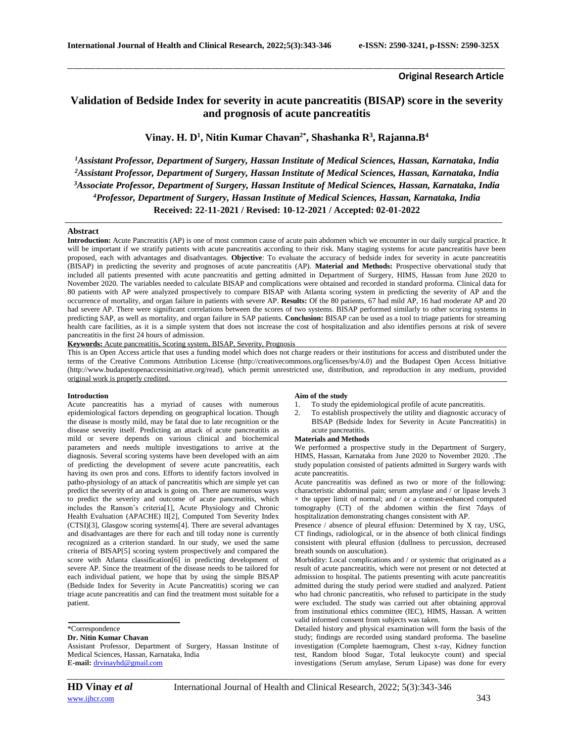## **Original Research Article**

# **Validation of Bedside Index for severity in acute pancreatitis (BISAP) score in the severity and prognosis of acute pancreatitis**

\_\_\_\_\_\_\_\_\_\_\_\_\_\_\_\_\_\_\_\_\_\_\_\_\_\_\_\_\_\_\_\_\_\_\_\_\_\_\_\_\_\_\_\_\_\_\_\_\_\_\_\_\_\_\_\_\_\_\_\_\_\_\_\_\_\_\_\_\_\_\_\_\_\_\_\_\_\_\_\_\_\_\_\_\_\_\_\_\_\_\_\_\_\_\_\_\_\_\_\_\_\_\_\_\_\_\_\_\_\_\_\_\_\_\_\_\_\_\_\_\_\_\_\_\_\_\_\_\_\_\_\_\_\_\_\_\_\_\_\_

**Vinay. H. D<sup>1</sup> , Nitin Kumar Chavan2\* , Shashanka R<sup>3</sup> , Rajanna.B<sup>4</sup>**

*Assistant Professor, Department of Surgery, Hassan Institute of Medical Sciences, Hassan, Karnataka, India Assistant Professor, Department of Surgery, Hassan Institute of Medical Sciences, Hassan, Karnataka, India Associate Professor, Department of Surgery, Hassan Institute of Medical Sciences, Hassan, Karnataka, India Professor, Department of Surgery, Hassan Institute of Medical Sciences, Hassan, Karnataka, India* **Received: 22-11-2021 / Revised: 10-12-2021 / Accepted: 02-01-2022**

# **Abstract**

**Introduction:** Acute Pancreatitis (AP) is one of most common cause of acute pain abdomen which we encounter in our daily surgical practice. It will be important if we stratify patients with acute pancreatitis according to their risk. Many staging systems for acute pancreatitis have been proposed, each with advantages and disadvantages. **Objective**: To evaluate the accuracy of bedside index for severity in acute pancreatitis (BISAP) in predicting the severity and prognoses of acute pancreatitis (AP). **Material and Methods:** Prospective obervational study that included all patients presented with acute pancreatitis and getting admitted in Department of Surgery, HIMS, Hassan from June 2020 to November 2020. The variables needed to calculate BISAP and complications were obtained and recorded in standard proforma. Clinical data for 80 patients with AP were analyzed prospectively to compare BISAP with Atlanta scoring system in predicting the severity of AP and the occurrence of mortality, and organ failure in patients with severe AP. **Results:** Of the 80 patients, 67 had mild AP, 16 had moderate AP and 20 had severe AP. There were significant correlations between the scores of two systems. BISAP performed similarly to other scoring systems in predicting SAP, as well as mortality, and organ failure in SAP patients. **Conclusion:** BISAP can be used as a tool to triage patients for streaming health care facilities, as it is a simple system that does not increase the cost of hospitalization and also identifies persons at risk of severe pancreatitis in the first 24 hours of admission.

**Keywords:** Acute pancreatitis, Scoring system, BISAP, Severity, Prognosis

This is an Open Access article that uses a funding model which does not charge readers or their institutions for access and distributed under the terms of the Creative Commons Attribution License (http://creativecommons.org/licenses/by/4.0) and the Budapest Open Access Initiative (http://www.budapestopenaccessinitiative.org/read), which permit unrestricted use, distribution, and reproduction in any medium, provided original work is properly credited.

#### **Introduction**

Acute pancreatitis has a myriad of causes with numerous epidemiological factors depending on geographical location. Though the disease is mostly mild, may be fatal due to late recognition or the disease severity itself. Predicting an attack of acute pancreatitis as mild or severe depends on various clinical and biochemical parameters and needs multiple investigations to arrive at the diagnosis. Several scoring systems have been developed with an aim of predicting the development of severe acute pancreatitis, each having its own pros and cons. Efforts to identify factors involved in patho-physiology of an attack of pancreatitis which are simple yet can predict the severity of an attack is going on. There are numerous ways to predict the severity and outcome of acute pancreatitis, which includes the Ranson's criteria[1], Acute Physiology and Chronic Health Evaluation (APACHE) II[2], Computed Tom Severity Index (CTSI)[3], Glasgow scoring systems[4]. There are several advantages and disadvantages are there for each and till today none is currently recognized as a criterion standard. In our study, we used the same criteria of BISAP[5] scoring system prospectively and compared the score with Atlanta classification[6] in predicting development of severe AP. Since the treatment of the disease needs to be tailored for each individual patient, we hope that by using the simple BISAP (Bedside Index for Severity in Acute Pancreatitis) scoring we can triage acute pancreatitis and can find the treatment most suitable for a patient.

#### **Dr. Nitin Kumar Chavan**

Assistant Professor, Department of Surgery, Hassan Institute of Medical Sciences, Hassan, Karnataka, India **E-mail:** [drvinayhd@gmail.com](mailto:drvinayhd@gmail.com)

### **Aim of the study**

2. To establish prospectively the utility and diagnostic accuracy of BISAP (Bedside Index for Severity in Acute Pancreatitis) in acute pancreatitis.

#### **Materials and Methods**

We performed a prospective study in the Department of Surgery, HIMS, Hassan, Karnataka from June 2020 to November 2020. .The study population consisted of patients admitted in Surgery wards with acute pancreatitis.

Acute pancreatitis was defined as two or more of the following: characteristic abdominal pain; serum amylase and / or lipase levels 3  $\times$  the upper limit of normal; and / or a contrast-enhanced computed tomography (CT) of the abdomen within the first 7days of hospitalization demonstrating changes consistent with AP.

Presence / absence of pleural effusion: Determined by X ray, USG, CT findings, radiological, or in the absence of both clinical findings consistent with pleural effusion (dullness to percussion, decreased breath sounds on auscultation).

Morbidity: Local complications and / or systemic that originated as a result of acute pancreatitis, which were not present or not detected at admission to hospital. The patients presenting with acute pancreatitis admitted during the study period were studied and analyzed. Patient who had chronic pancreatitis, who refused to participate in the study were excluded. The study was carried out after obtaining approval from institutional ethics committee (IEC), HIMS, Hassan. A written valid informed consent from subjects was taken.

Detailed history and physical examination will form the basis of the study; findings are recorded using standard proforma. The baseline investigation (Complete haemogram, Chest x-ray, Kidney function test, Random blood Sugar, Total leukocyte count) and special investigations (Serum amylase, Serum Lipase) was done for every

<sup>\*</sup>Correspondence

<sup>1.</sup> To study the epidemiological profile of acute pancreatitis.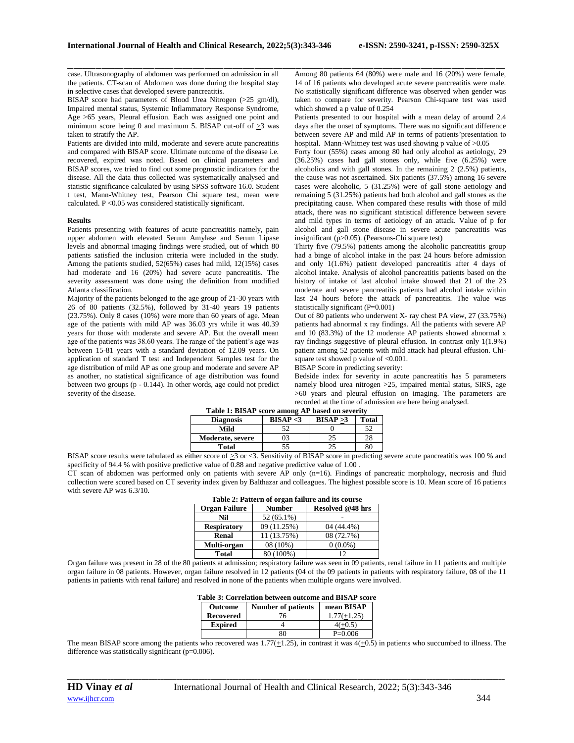case. Ultrasonography of abdomen was performed on admission in all the patients. CT-scan of Abdomen was done during the hospital stay in selective cases that developed severe pancreatitis.

BISAP score had parameters of Blood Urea Nitrogen (>25 gm/dl), Impaired mental status, Systemic Inflammatory Response Syndrome, Age >65 years, Pleural effusion. Each was assigned one point and minimum score being 0 and maximum 5. BISAP cut-off of  $>3$  was taken to stratify the AP.

Patients are divided into mild, moderate and severe acute pancreatitis and compared with BISAP score. Ultimate outcome of the disease i.e. recovered, expired was noted. Based on clinical parameters and BISAP scores, we tried to find out some prognostic indicators for the disease. All the data thus collected was systematically analysed and statistic significance calculated by using SPSS software 16.0. Student t test, Mann-Whitney test, Pearson Chi square test, mean were calculated. P <0.05 was considered statistically significant.

#### **Results**

Patients presenting with features of acute pancreatitis namely, pain upper abdomen with elevated Serum Amylase and Serum Lipase levels and abnormal imaging findings were studied, out of which 80 patients satisfied the inclusion criteria were included in the study. Among the patients studied, 52(65%) cases had mild, 12(15%) cases had moderate and 16 (20%) had severe acute pancreatitis. The severity assessment was done using the definition from modified Atlanta classification.

Majority of the patients belonged to the age group of 21-30 years with 26 of 80 patients (32.5%), followed by 31-40 years 19 patients (23.75%). Only 8 cases (10%) were more than 60 years of age. Mean age of the patients with mild AP was 36.03 yrs while it was 40.39 years for those with moderate and severe AP. But the overall mean age of the patients was 38.60 years. The range of the patient's age was between 15-81 years with a standard deviation of 12.09 years. On application of standard T test and Independent Samples test for the age distribution of mild AP as one group and moderate and severe AP as another, no statistical significance of age distribution was found between two groups (p - 0.144). In other words, age could not predict severity of the disease.

\_\_\_\_\_\_\_\_\_\_\_\_\_\_\_\_\_\_\_\_\_\_\_\_\_\_\_\_\_\_\_\_\_\_\_\_\_\_\_\_\_\_\_\_\_\_\_\_\_\_\_\_\_\_\_\_\_\_\_\_\_\_\_\_\_\_\_\_\_\_\_\_\_\_\_\_\_\_\_\_\_\_\_\_\_\_\_\_\_\_\_\_\_\_\_\_\_\_\_\_\_\_\_\_\_\_\_\_\_\_\_\_\_\_\_\_\_\_\_\_\_\_\_\_\_\_\_\_\_\_\_\_\_\_\_\_\_\_\_\_ Among 80 patients 64 (80%) were male and 16 (20%) were female, 14 of 16 patients who developed acute severe pancreatitis were male. No statistically significant difference was observed when gender was taken to compare for severity. Pearson Chi-square test was used which showed a p value of 0.254

Patients presented to our hospital with a mean delay of around 2.4 days after the onset of symptoms. There was no significant difference between severe AP and mild AP in terms of patients'presentation to hospital. Mann-Whitney test was used showing p value of  $>0.05$ 

Forty four (55%) cases among 80 had only alcohol as aetiology, 29 (36.25%) cases had gall stones only, while five (6.25%) were alcoholics and with gall stones. In the remaining 2 (2.5%) patients, the cause was not ascertained. Six patients (37.5%) among 16 severe cases were alcoholic, 5 (31.25%) were of gall stone aetiology and remaining 5 (31.25%) patients had both alcohol and gall stones as the precipitating cause. When compared these results with those of mild attack, there was no significant statistical difference between severe and mild types in terms of aetiology of an attack. Value of p for alcohol and gall stone disease in severe acute pancreatitis was insignificant  $(p>0.05)$ . (Pearsons-Chi square test)

Thirty five (79.5%) patients among the alcoholic pancreatitis group had a binge of alcohol intake in the past 24 hours before admission and only 1(1.6%) patient developed pancreatitis after 4 days of alcohol intake. Analysis of alcohol pancreatitis patients based on the history of intake of last alcohol intake showed that 21 of the 23 moderate and severe pancreatitis patients had alcohol intake within last 24 hours before the attack of pancreatitis. The value was statistically significant (P=0.001)

Out of 80 patients who underwent X- ray chest PA view, 27 (33.75%) patients had abnormal x ray findings. All the patients with severe AP and 10 (83.3%) of the 12 moderate AP patients showed abnormal x ray findings suggestive of pleural effusion. In contrast only 1(1.9%) patient among 52 patients with mild attack had pleural effusion. Chisquare test showed p value of <0.001.

BISAP Score in predicting severity:

Bedside index for severity in acute pancreatitis has 5 parameters namely blood urea nitrogen >25, impaired mental status, SIRS, age >60 years and pleural effusion on imaging. The parameters are recorded at the time of admission are here being analysed.

| Table 1: BISAP score among AP based on severity |           |           |              |
|-------------------------------------------------|-----------|-----------|--------------|
| <b>Diagnosis</b>                                | BISAP < 3 | BISAP > 3 | <b>Total</b> |
| Mild                                            | 52.       |           | 52           |
| Moderate, severe                                |           |           | 28           |
| <b>Total</b>                                    | 55        |           | 80           |

BISAP score results were tabulated as either score of >3 or <3. Sensitivity of BISAP score in predicting severe acute pancreatitis was 100 % and specificity of 94.4 % with positive predictive value of 0.88 and negative predictive value of 1.00 .

CT scan of abdomen was performed only on patients with severe AP only (n=16). Findings of pancreatic morphology, necrosis and fluid collection were scored based on CT severity index given by Balthazar and colleagues. The highest possible score is 10. Mean score of 16 patients with severe AP was 6.3/10.

|                      |               | Table 2: Pattern of organ failure and its course |
|----------------------|---------------|--------------------------------------------------|
| <b>Organ Failure</b> | <b>Number</b> | Resolved @48 hrs                                 |
| Nil                  | $52(65.1\%)$  |                                                  |
| <b>Respiratory</b>   | 09 (11.25%)   | 04 (44.4%)                                       |
| Renal                | 11 (13.75%)   | 08 (72.7%)                                       |
| Multi-organ          | 08 (10%)      | $0(0.0\%)$                                       |
| <b>Total</b>         | 80 (100%)     | 12                                               |

Organ failure was present in 28 of the 80 patients at admission; respiratory failure was seen in 09 patients, renal failure in 11 patients and multiple organ failure in 08 patients. However, organ failure resolved in 12 patients (04 of the 09 patients in patients with respiratory failure, 08 of the 11 patients in patients with renal failure) and resolved in none of the patients when multiple organs were involved.

|                | Table 3: Correlation between outcome and BISAP score |            |  |
|----------------|------------------------------------------------------|------------|--|
| <b>Outcome</b> | Number of patients                                   | mean BISAP |  |

| опилне         | <b>NUMBER OF PARTIES</b> | шсан риэмі    |
|----------------|--------------------------|---------------|
| Recovered      |                          | $1.77(+1.25)$ |
| <b>Expired</b> |                          | $4(+0.5)$     |
|                |                          | $P=0.006$     |

The mean BISAP score among the patients who recovered was  $1.77(\pm 1.25)$ , in contrast it was  $4(\pm 0.5)$  in patients who succumbed to illness. The difference was statistically significant (p=0.006).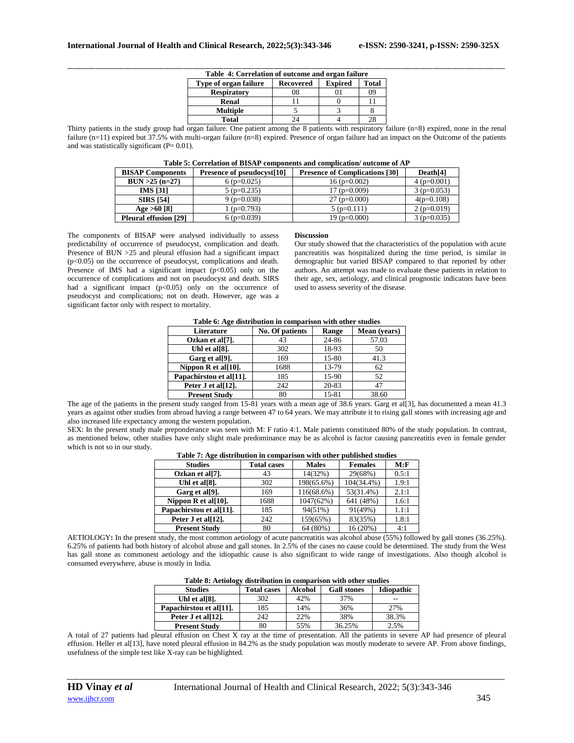| Table 4: Correlation of outcome and organ failure |                  |                |              |  |
|---------------------------------------------------|------------------|----------------|--------------|--|
| Type of organ failure                             | <b>Recovered</b> | <b>Expired</b> | <b>Total</b> |  |
| <b>Respiratory</b>                                | 08               |                | 09           |  |
| Renal                                             |                  |                |              |  |
| <b>Multiple</b>                                   |                  |                |              |  |
| Total                                             |                  |                | 28           |  |

Thirty patients in the study group had organ failure. One patient among the 8 patients with respiratory failure  $(n=8)$  expired, none in the renal failure (n=11) expired but 37.5% with multi-organ failure (n=8) expired. Presence of organ failure had an impact on the Outcome of the patients and was statistically significant  $(P= 0.01)$ .

| Table 5: Correlation of BISAP components and complication/outcome of AP |  |
|-------------------------------------------------------------------------|--|
|-------------------------------------------------------------------------|--|

| <b>BISAP Components</b>      | Presence of pseudocyst[10] | <b>Presence of Complications [30]</b> | Death <sup>[4]</sup> |
|------------------------------|----------------------------|---------------------------------------|----------------------|
| $BUN > 25 (n=27)$            | $6(p=0.025)$               | $16(p=0.002)$                         | $4(p=0.001)$         |
| <b>IMS</b> [31]              | $5(p=0.235)$               | $17(p=0.009)$                         | $3(p=0.053)$         |
| <b>SIRS</b> [54]             | $9$ (p=0.038)              | $27(p=0.000)$                         | $4(p=0.108)$         |
| Age $>60$ [8]                | $(p=0.793)$                | $5(p=0.111)$                          | $2(p=0.019)$         |
| <b>Pleural effusion [29]</b> | $6(p=0.039)$               | 19 ( $p=0.000$ )                      | $3(p=0.035)$         |

The components of BISAP were analysed individually to assess predictability of occurrence of pseudocyst, complication and death. Presence of BUN >25 and pleural effusion had a significant impact  $(p<0.05)$  on the occurrence of pseudocyst, complications and death. Presence of IMS had a significant impact  $(p<0.05)$  only on the occurrence of complications and not on pseudocyst and death. SIRS had a significant impact  $(p<0.05)$  only on the occurrence of pseudocyst and complications; not on death. However, age was a significant factor only with respect to mortality.

#### **Discussion**

Our study showed that the characteristics of the population with acute pancreatitis was hospitalized during the time period, is similar in demographic but varied BISAP compared to that reported by other authors. An attempt was made to evaluate these patients in relation to their age, sex, aetiology, and clinical prognostic indicators have been used to assess severity of the disease.

| Table 6: Age distribution in comparison with other studies |                 |       |              |
|------------------------------------------------------------|-----------------|-------|--------------|
| Literature                                                 | No. Of patients | Range | Mean (vears) |
| Ozkan et al[7].                                            | 43              | 24-86 | 57.03        |
| Uhl et al[8].                                              | 302             | 18-93 | 50           |
| Garg et al[9].                                             | 169             | 15-80 | 41.3         |
| Nippon $R$ et al[10].                                      | 1688            | 13-79 | 62           |
| Papachirstou et al[11].                                    | 185             | 15-90 | 52           |
| Peter J et al[12].                                         | 242             | 20-83 | 47           |
| <b>Present Study</b>                                       | 80              | 15-81 | 38.60        |

The age of the patients in the present study ranged from 15-81 years with a mean age of 38.6 years. Garg et al[3], has documented a mean 41.3 years as against other studies from abroad having a range between 47 to 64 years. We may attribute it to rising gall stones with increasing age and also increased life expectancy among the western population.

SEX: In the present study male preponderance was seen with M: F ratio 4:1. Male patients constituted 80% of the study population. In contrast, as mentioned below, other studies have only slight male predominance may be as alcohol is factor causing pancreatitis even in female gender which is not so in our study.

| Table 7: Age distribution in comparison with other |                    |              | pupnoneu stuuro |       |
|----------------------------------------------------|--------------------|--------------|-----------------|-------|
| <b>Studies</b>                                     | <b>Total cases</b> | <b>Males</b> | <b>Females</b>  | M: F  |
| Ozkan et al[7].                                    | 43                 | 14(32%)      | 29(68%)         | 0.5:1 |
| Uhl et al[8].                                      | 302                | 198(65.6%)   | $104(34.4\%)$   | 1.9:1 |
| Garg et all <sup>9</sup> ].                        | 169                | 116(68.6%)   | 53(31.4%)       | 2.1:1 |
| Nippon $R$ et al[10].                              | 1688               | 1047(62%)    | 641 (48%)       | 1.6:1 |
| Papachirstou et al[11].                            | 185                | 94(51%)      | 91(49%)         | 1.1:1 |
| Peter J et al[12].                                 | 242                | 159(65%)     | 83(35%)         | 1.8:1 |
| <b>Present Study</b>                               | 80                 | 64 (80%)     | 16 (20%)        | 4:1   |

**Table 7: Age distribution in comparison with other published studies**

AETIOLOGY**:** In the present study, the most common aetiology of acute pancreatitis was alcohol abuse (55%) followed by gall stones (36.25%). 6.25% of patients had both history of alcohol abuse and gall stones. In 2.5% of the cases no cause could be determined. The study from the West has gall stone as commonest aetiology and the idiopathic cause is also significant to wide range of investigations. Also though alcohol is consumed everywhere, abuse is mostly in India.

| Table 8: Actiology distribution in comparison with other studies |  |                                             |  |
|------------------------------------------------------------------|--|---------------------------------------------|--|
| <b>Ctudios</b>                                                   |  | Total cases   Alcohol   Call stones   Idion |  |

| <b>Studies</b>             | <b>Total cases</b> | Alcohol | <b>Gall stones</b> | <b>Idiopathic</b> |
|----------------------------|--------------------|---------|--------------------|-------------------|
| Uhl et al <sup>[8]</sup> . | 302                | 42%     | 37%                | --                |
| Papachirstou et al[11].    | 185                | 14%     | 36%                | 27%               |
| Peter J et al[12].         | 242                | 22%     | 38%                | 38.3%             |
| <b>Present Study</b>       | 80                 | 55%     | 36.25%             | 2.5%              |

A total of 27 patients had pleural effusion on Chest X ray at the time of presentation. All the patients in severe AP had presence of pleural effusion. Heller et al[13], have noted pleural effusion in 84.2% as the study population was mostly moderate to severe AP. From above findings, usefulness of the simple test like X-ray can be highlighted.